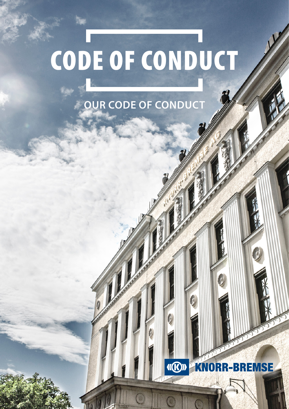# **OUR CODE OF CONDUCT**

#### **II(R)II R-BREMSE** K N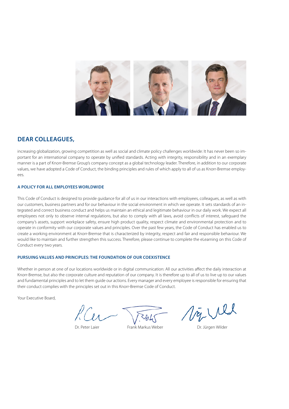

# **DEAR COLLEAGUES,**

increasing globalization, growing competition as well as social and climate policy challenges worldwide: It has never been so important for an international company to operate by unified standards. Acting with integrity, responsibility and in an exemplary manner is a part of Knorr-Bremse Group's company concept as a global technology leader. Therefore, in addition to our corporate values, we have adopted a Code of Conduct, the binding principles and rules of which apply to all of us as Knorr-Bremse employees.

#### **A POLICY FOR ALL EMPLOYEES WORLDWIDE**

This Code of Conduct is designed to provide guidance for all of us in our interactions with employees, colleagues, as well as with our customers, business partners and for our behaviour in the social environment in which we operate. It sets standards of an integrated and correct business conduct and helps us maintain an ethical and legitimate behaviour in our daily work. We expect all employees not only to observe internal regulations, but also to comply with all laws, avoid conflicts of interest, safeguard the company's assets, support workplace safety, ensure high product quality, respect climate and environmental protection and to operate in conformity with our corporate values and principles. Over the past few years, the Code of Conduct has enabled us to create a working environment at Knorr-Bremse that is characterized by integrity, respect and fair and responsible behaviour. We would like to maintain and further strengthen this success. Therefore, please continue to complete the eLearning on this Code of Conduct every two years.

#### **PURSUING VALUES AND PRINCIPLES: THE FOUNDATION OF OUR COEXISTENCE**

Whether in person at one of our locations worldwide or in digital communication: All our activities affect the daily interaction at Knorr-Bremse, but also the corporate culture and reputation of our company. It is therefore up to all of us to live up to our values and fundamental principles and to let them guide our actions. Every manager and every employee is responsible for ensuring that their conduct complies with the principles set out in this Knorr-Bremse Code of Conduct.

Your Executive Board,

Try Ull

Dr. Peter Laier **Frank Markus Weber** Frank Markus Weber **Dr. Jürgen Wilder**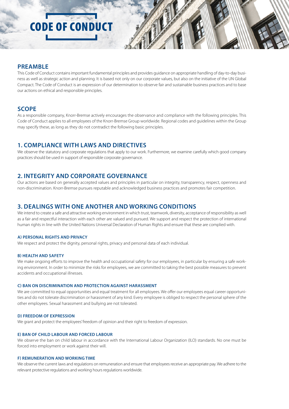## **PREAMBLE**

This Code of Conduct contains important fundamental principles and provides guidance on appropriate handling of day-to-day business as well as strategic action and planning. It is based not only on our corporate values, but also on the initiative of the UN Global Compact. The Code of Conduct is an expression of our determination to observe fair and sustainable business practices and to base our actions on ethical and responsible principles.

## **SCOPE**

As a responsible company, Knorr-Bremse actively encourages the observance and compliance with the following principles. This Code of Conduct applies to all employees of the Knorr-Bremse Group worldwide. Regional codes and guidelines within the Group may specify these, as long as they do not contradict the following basic principles.

## **1. COMPLIANCE WITH LAWS AND DIRECTIVES**

We observe the statutory and corporate regulations that apply to our work. Furthermore, we examine carefully which good company practices should be used in support of responsible corporate governance.

# **2. INTEGRITY AND CORPORATE GOVERNANCE**

Our actions are based on generally accepted values and principles in particular on integrity, transparency, respect, openness and non-discrimination. Knorr-Bremse pursues reputable and acknowledged business practices and promotes fair competition.

## **3. DEALINGS WITH ONE ANOTHER AND WORKING CONDITIONS**

We intend to create a safe and attractive working environment in which trust, teamwork, diversity, acceptance of responsibility as well as a fair and respectful interaction with each other are valued and pursued. We support and respect the protection of international human rights in line with the United Nations Universal Declaration of Human Rights and ensure that these are complied with.

#### **A) PERSONAL RIGHTS AND PRIVACY**

We respect and protect the dignity, personal rights, privacy and personal data of each individual.

#### **B) HEALTH AND SAFETY**

We make ongoing efforts to improve the health and occupational safety for our employees, in particular by ensuring a safe working environment. In order to minimize the risks for employees, we are committed to taking the best possible measures to prevent accidents and occupational illnesses.

#### **C) BAN ON DISCRIMINATION AND PROTECTION AGAINST HARASSMENT**

We are committed to equal opportunities and equal treatment for all employees. We offer our employees equal career opportunities and do not tolerate discrimination or harassment of any kind. Every employee is obliged to respect the personal sphere of the other employees. Sexual harassment and bullying are not tolerated.

#### **D) FREEDOM OF EXPRESSION**

We grant and protect the employees' freedom of opinion and their right to freedom of expression.

#### **E) BAN OF CHILD LABOUR AND FORCED LABOUR**

We observe the ban on child labour in accordance with the International Labour Organization (ILO) standards. No one must be forced into employment or work against their will.

#### **F) REMUNERATION AND WORKING TIME**

We observe the current laws and regulations on remuneration and ensure that employees receive an appropriate pay. We adhere to the relevant protective regulations and working hours regulations worldwide.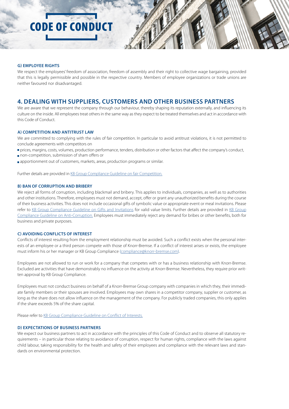#### **G) EMPLOYEE RIGHTS**

We respect the employees' freedom of association, freedom of assembly and their right to collective wage bargaining, provided that this is legally permissible and possible in the respective country. Members of employee organizations or trade unions are neither favoured nor disadvantaged.

# **4. DEALING WITH SUPPLIERS, CUSTOMERS AND OTHER BUSINESS PARTNERS**

We are aware that we represent the company through our behaviour, thereby shaping its reputation externally, and influencing its culture on the inside. All employees treat others in the same way as they expect to be treated themselves and act in accordance with this Code of Conduct.

#### **A) COMPETITION AND ANTITRUST LAW**

We are committed to complying with the rules of fair competition. In particular to avoid antitrust violations, it is not permitted to conclude agreements with competitors on

- prices, margins, costs, volumes, production performance, tenders, distribution or other factors that affect the company's conduct,
- non-competition, submission of sham offers or
- **apportionment out of customers, markets, areas, production programs or similar.**

Further details are provided in [KB Group Compliance Guideline on fair Competition.](https://portal.corp.knorr-bremse.com/irj/go/km/docs/guid/e0eb2741-2d67-3610-848d-8021502f6d81)

#### **B) BAN OF CORRUPTION AND BRIBERY**

We reject all forms of corruption, including blackmail and bribery. This applies to individuals, companies, as well as to authorities and other institutions. Therefore, employees must not demand, accept, offer or grant any unauthorized benefits during the course of their business activities. This does not include occasional gifts of symbolic value or appropriate event or meal invitations. Please refer to [KB Group Compliance Guideline on Gifts and Invitations](https://portal.corp.knorr-bremse.com/irj/go/km/docs/guid/40d8b9aa-2f4a-3610-ec8f-ad5da11d1f9a) for valid value limits. Further details are provided in [KB Group](https://portal.corp.knorr-bremse.com/irj/go/km/docs/guid/7054a4aa-2f4a-3610-5ebd-9462baf0e5b7) [Compliance Guideline on Anti-Corruption.](https://portal.corp.knorr-bremse.com/irj/go/km/docs/guid/7054a4aa-2f4a-3610-5ebd-9462baf0e5b7) Employees must immediately reject any demand for bribes or other benefits, both for business and private purposes.

#### **C) AVOIDING CONFLICTS OF INTEREST**

Conflicts of interest resulting from the employment relationship must be avoided. Such a conflict exists when the personal interests of an employee or a third person compete with those of Knorr-Bremse. If a conflict of interest arises or exists, the employee must inform his or her manager or KB Group Compliance [\(compliance@knorr-bremse.com\)](mailto:mailto:compliance%40knorr-bremse.com?subject=).

Employees are not allowed to run or work for a company that competes with or has a business relationship with Knorr-Bremse. Excluded are activities that have demonstrably no influence on the activity at Knorr-Bremse. Nevertheless, they require prior written approval by KB Group Compliance.

Employees must not conduct business on behalf of a Knorr-Bremse Group company with companies in which they, their immediate family members or their spouses are involved. Employees may own shares in a competitor company, supplier or customer, as long as the share does not allow influence on the management of the company. For publicly traded companies, this only applies if the share exceeds 5% of the share capital.

Please refer to [KB Group Compliance Guideline on Conflict of Interests.](https://portal.corp.knorr-bremse.com/irj/go/km/docs/guid/4099f0ad-2f4a-3610-65ac-fc283f58c7f6)

#### **D) EXPECTATIONS OF BUSINESS PARTNERS**

We expect our business partners to act in accordance with the principles of this Code of Conduct and to observe all statutory requirements – in particular those relating to avoidance of corruption, respect for human rights, compliance with the laws against child labour, taking responsibility for the health and safety of their employees and compliance with the relevant laws and standards on environmental protection.